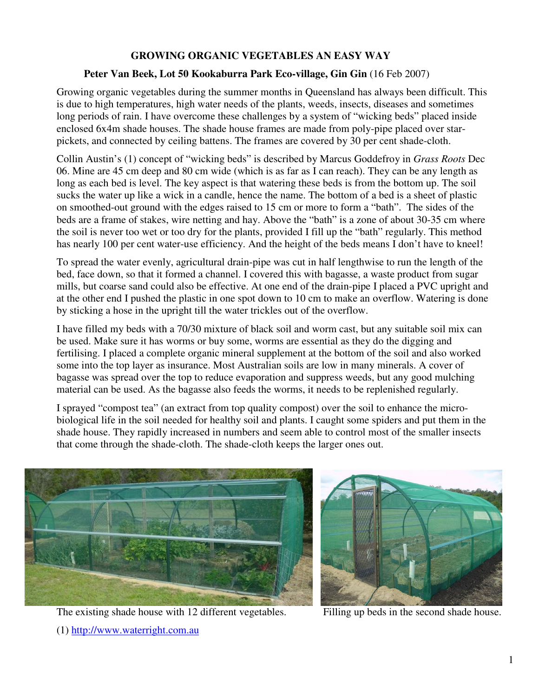## **GROWING ORGANIC VEGETABLES AN EASY WAY**

## **Peter Van Beek, Lot 50 Kookaburra Park Eco-village, Gin Gin** (16 Feb 2007)

Growing organic vegetables during the summer months in Queensland has always been difficult. This is due to high temperatures, high water needs of the plants, weeds, insects, diseases and sometimes long periods of rain. I have overcome these challenges by a system of "wicking beds" placed inside enclosed 6x4m shade houses. The shade house frames are made from poly-pipe placed over starpickets, and connected by ceiling battens. The frames are covered by 30 per cent shade-cloth.

Collin Austin's (1) concept of "wicking beds" is described by Marcus Goddefroy in *Grass Roots* Dec 06. Mine are 45 cm deep and 80 cm wide (which is as far as I can reach). They can be any length as long as each bed is level. The key aspect is that watering these beds is from the bottom up. The soil sucks the water up like a wick in a candle, hence the name. The bottom of a bed is a sheet of plastic on smoothed-out ground with the edges raised to 15 cm or more to form a "bath". The sides of the beds are a frame of stakes, wire netting and hay. Above the "bath" is a zone of about 30-35 cm where the soil is never too wet or too dry for the plants, provided I fill up the "bath" regularly. This method has nearly 100 per cent water-use efficiency. And the height of the beds means I don't have to kneel!

To spread the water evenly, agricultural drain-pipe was cut in half lengthwise to run the length of the bed, face down, so that it formed a channel. I covered this with bagasse, a waste product from sugar mills, but coarse sand could also be effective. At one end of the drain-pipe I placed a PVC upright and at the other end I pushed the plastic in one spot down to 10 cm to make an overflow. Watering is done by sticking a hose in the upright till the water trickles out of the overflow.

I have filled my beds with a 70/30 mixture of black soil and worm cast, but any suitable soil mix can be used. Make sure it has worms or buy some, worms are essential as they do the digging and fertilising. I placed a complete organic mineral supplement at the bottom of the soil and also worked some into the top layer as insurance. Most Australian soils are low in many minerals. A cover of bagasse was spread over the top to reduce evaporation and suppress weeds, but any good mulching material can be used. As the bagasse also feeds the worms, it needs to be replenished regularly.

I sprayed "compost tea" (an extract from top quality compost) over the soil to enhance the microbiological life in the soil needed for healthy soil and plants. I caught some spiders and put them in the shade house. They rapidly increased in numbers and seem able to control most of the smaller insects that come through the shade-cloth. The shade-cloth keeps the larger ones out.



The existing shade house with 12 different vegetables. Filling up beds in the second shade house.

(1) http://www.waterright.com.au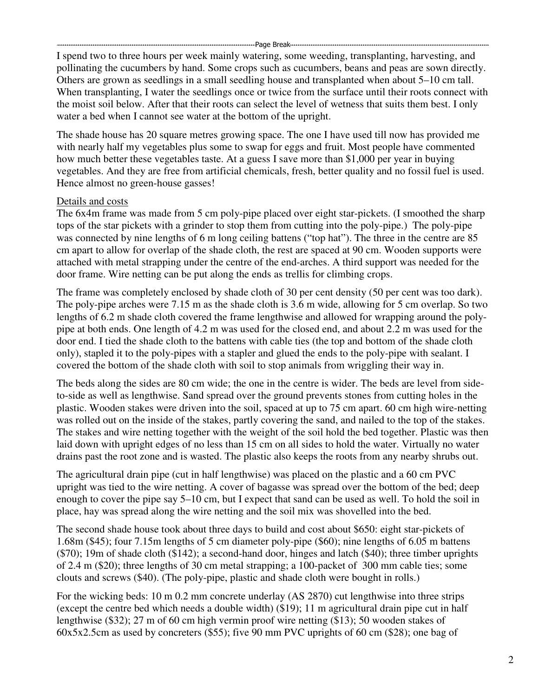I spend two to three hours per week mainly watering, some weeding, transplanting, harvesting, and pollinating the cucumbers by hand. Some crops such as cucumbers, beans and peas are sown directly. Others are grown as seedlings in a small seedling house and transplanted when about 5–10 cm tall. When transplanting, I water the seedlings once or twice from the surface until their roots connect with the moist soil below. After that their roots can select the level of wetness that suits them best. I only water a bed when I cannot see water at the bottom of the upright.

The shade house has 20 square metres growing space. The one I have used till now has provided me with nearly half my vegetables plus some to swap for eggs and fruit. Most people have commented how much better these vegetables taste. At a guess I save more than \$1,000 per year in buying vegetables. And they are free from artificial chemicals, fresh, better quality and no fossil fuel is used. Hence almost no green-house gasses!

## Details and costs

The 6x4m frame was made from 5 cm poly-pipe placed over eight star-pickets. (I smoothed the sharp tops of the star pickets with a grinder to stop them from cutting into the poly-pipe.) The poly-pipe was connected by nine lengths of 6 m long ceiling battens ("top hat"). The three in the centre are 85 cm apart to allow for overlap of the shade cloth, the rest are spaced at 90 cm. Wooden supports were attached with metal strapping under the centre of the end-arches. A third support was needed for the door frame. Wire netting can be put along the ends as trellis for climbing crops.

The frame was completely enclosed by shade cloth of 30 per cent density (50 per cent was too dark). The poly-pipe arches were 7.15 m as the shade cloth is 3.6 m wide, allowing for 5 cm overlap. So two lengths of 6.2 m shade cloth covered the frame lengthwise and allowed for wrapping around the polypipe at both ends. One length of 4.2 m was used for the closed end, and about 2.2 m was used for the door end. I tied the shade cloth to the battens with cable ties (the top and bottom of the shade cloth only), stapled it to the poly-pipes with a stapler and glued the ends to the poly-pipe with sealant. I covered the bottom of the shade cloth with soil to stop animals from wriggling their way in.

The beds along the sides are 80 cm wide; the one in the centre is wider. The beds are level from sideto-side as well as lengthwise. Sand spread over the ground prevents stones from cutting holes in the plastic. Wooden stakes were driven into the soil, spaced at up to 75 cm apart. 60 cm high wire-netting was rolled out on the inside of the stakes, partly covering the sand, and nailed to the top of the stakes. The stakes and wire netting together with the weight of the soil hold the bed together. Plastic was then laid down with upright edges of no less than 15 cm on all sides to hold the water. Virtually no water drains past the root zone and is wasted. The plastic also keeps the roots from any nearby shrubs out.

The agricultural drain pipe (cut in half lengthwise) was placed on the plastic and a 60 cm PVC upright was tied to the wire netting. A cover of bagasse was spread over the bottom of the bed; deep enough to cover the pipe say 5–10 cm, but I expect that sand can be used as well. To hold the soil in place, hay was spread along the wire netting and the soil mix was shovelled into the bed.

The second shade house took about three days to build and cost about \$650: eight star-pickets of 1.68m (\$45); four 7.15m lengths of 5 cm diameter poly-pipe (\$60); nine lengths of 6.05 m battens (\$70); 19m of shade cloth (\$142); a second-hand door, hinges and latch (\$40); three timber uprights of 2.4 m (\$20); three lengths of 30 cm metal strapping; a 100-packet of 300 mm cable ties; some clouts and screws (\$40). (The poly-pipe, plastic and shade cloth were bought in rolls.)

For the wicking beds: 10 m 0.2 mm concrete underlay (AS 2870) cut lengthwise into three strips (except the centre bed which needs a double width) (\$19); 11 m agricultural drain pipe cut in half lengthwise (\$32); 27 m of 60 cm high vermin proof wire netting (\$13); 50 wooden stakes of 60x5x2.5cm as used by concreters (\$55); five 90 mm PVC uprights of 60 cm (\$28); one bag of